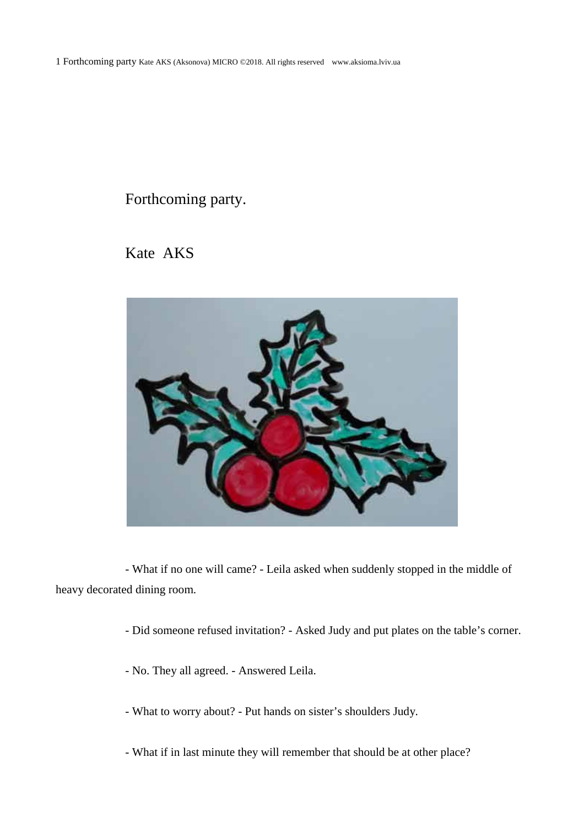## Forthcoming party.

Kate AKS



- What if no one will came? - Leila asked when suddenly stopped in the middle of heavy decorated dining room.

- Did someone refused invitation? Asked Judy and put plates on the table's corner.
- No. They all agreed. Answered Leila.
- What to worry about? Put hands on sister's shoulders Judy.
- What if in last minute they will remember that should be at other place?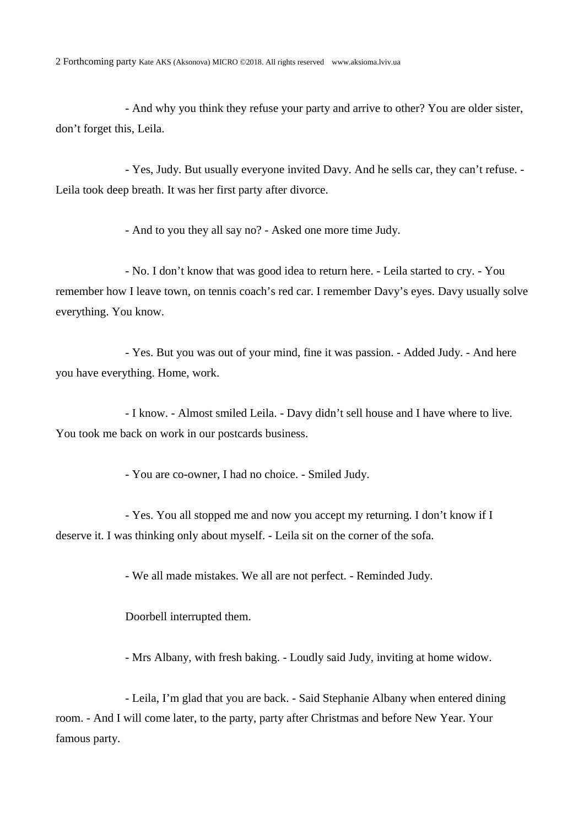- And why you think they refuse your party and arrive to other? You are older sister, don't forget this, Leila.

- Yes, Judy. But usually everyone invited Davy. And he sells car, they can't refuse. - Leila took deep breath. It was her first party after divorce.

- And to you they all say no? - Asked one more time Judy.

- No. I don't know that was good idea to return here. - Leila started to cry. - You remember how I leave town, on tennis coach's red car. I remember Davy's eyes. Davy usually solve everything. You know.

- Yes. But you was out of your mind, fine it was passion. - Added Judy. - And here you have everything. Home, work.

- I know. - Almost smiled Leila. - Davy didn't sell house and I have where to live. You took me back on work in our postcards business.

- You are co-owner, I had no choice. - Smiled Judy.

- Yes. You all stopped me and now you accept my returning. I don't know if I deserve it. I was thinking only about myself. - Leila sit on the corner of the sofa.

- We all made mistakes. We all are not perfect. - Reminded Judy.

Doorbell interrupted them.

- Mrs Albany, with fresh baking. - Loudly said Judy, inviting at home widow.

- Leila, I'm glad that you are back. - Said Stephanie Albany when entered dining room. - And I will come later, to the party, party after Christmas and before New Year. Your famous party.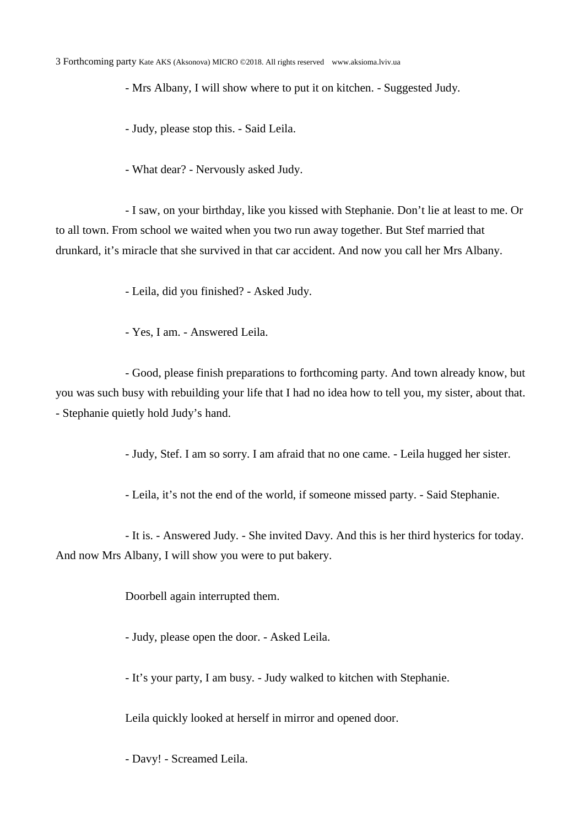- Mrs Albany, I will show where to put it on kitchen. - Suggested Judy.

- Judy, please stop this. - Said Leila.

- What dear? - Nervously asked Judy.

- I saw, on your birthday, like you kissed with Stephanie. Don't lie at least to me. Or to all town. From school we waited when you two run away together. But Stef married that drunkard, it's miracle that she survived in that car accident. And now you call her Mrs Albany.

- Leila, did you finished? - Asked Judy.

- Yes, I am. - Answered Leila.

- Good, please finish preparations to forthcoming party. And town already know, but you was such busy with rebuilding your life that I had no idea how to tell you, my sister, about that. - Stephanie quietly hold Judy's hand.

- Judy, Stef. I am so sorry. I am afraid that no one came. - Leila hugged her sister.

- Leila, it's not the end of the world, if someone missed party. - Said Stephanie.

- It is. - Answered Judy. - She invited Davy. And this is her third hysterics for today. And now Mrs Albany, I will show you were to put bakery.

Doorbell again interrupted them.

- Judy, please open the door. - Asked Leila.

- It's your party, I am busy. - Judy walked to kitchen with Stephanie.

Leila quickly looked at herself in mirror and opened door.

- Davy! - Screamed Leila.